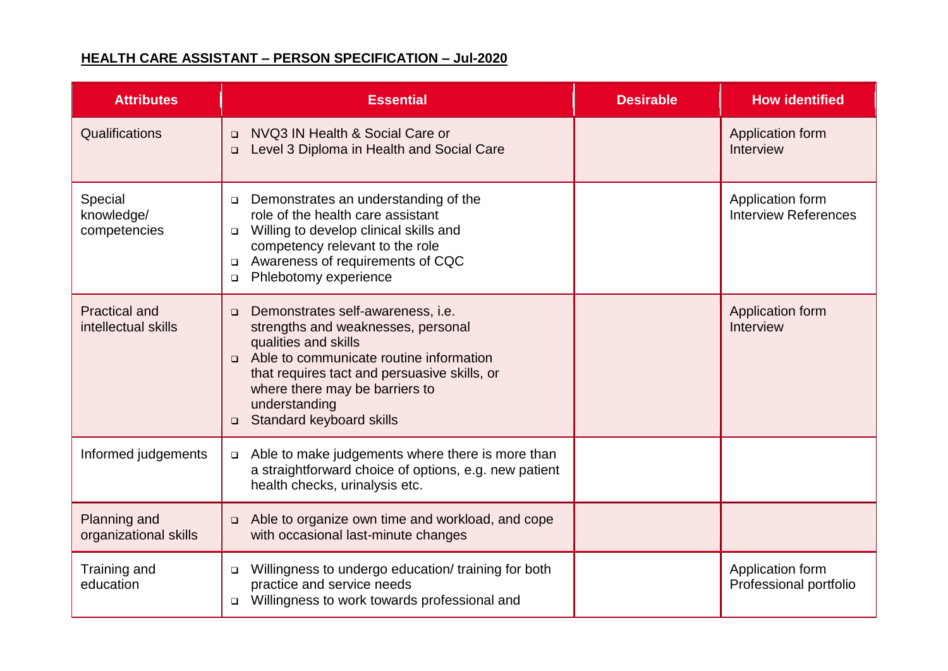## **HEALTH CARE ASSISTANT – PERSON SPECIFICATION – Jul-2020**

| <b>Attributes</b>                           | <b>Essential</b>                                                                                                                                                                                                                                                                                        | <b>Desirable</b> | <b>How identified</b>                           |
|---------------------------------------------|---------------------------------------------------------------------------------------------------------------------------------------------------------------------------------------------------------------------------------------------------------------------------------------------------------|------------------|-------------------------------------------------|
| Qualifications                              | NVQ3 IN Health & Social Care or<br>$\Box$<br>Level 3 Diploma in Health and Social Care<br>$\Box$                                                                                                                                                                                                        |                  | Application form<br>Interview                   |
| Special<br>knowledge/<br>competencies       | Demonstrates an understanding of the<br>$\Box$<br>role of the health care assistant<br>Willing to develop clinical skills and<br>$\Box$<br>competency relevant to the role<br>Awareness of requirements of CQC<br>$\Box$<br>Phlebotomy experience<br>$\Box$                                             |                  | Application form<br><b>Interview References</b> |
| <b>Practical and</b><br>intellectual skills | Demonstrates self-awareness, i.e.<br>$\Box$<br>strengths and weaknesses, personal<br>qualities and skills<br>Able to communicate routine information<br>$\Box$<br>that requires tact and persuasive skills, or<br>where there may be barriers to<br>understanding<br>Standard keyboard skills<br>$\Box$ |                  | Application form<br>Interview                   |
| Informed judgements                         | Able to make judgements where there is more than<br>$\Box$<br>a straightforward choice of options, e.g. new patient<br>health checks, urinalysis etc.                                                                                                                                                   |                  |                                                 |
| Planning and<br>organizational skills       | Able to organize own time and workload, and cope<br>$\Box$<br>with occasional last-minute changes                                                                                                                                                                                                       |                  |                                                 |
| Training and<br>education                   | Willingness to undergo education/ training for both<br>$\Box$<br>practice and service needs<br>Willingness to work towards professional and<br>$\Box$                                                                                                                                                   |                  | Application form<br>Professional portfolio      |